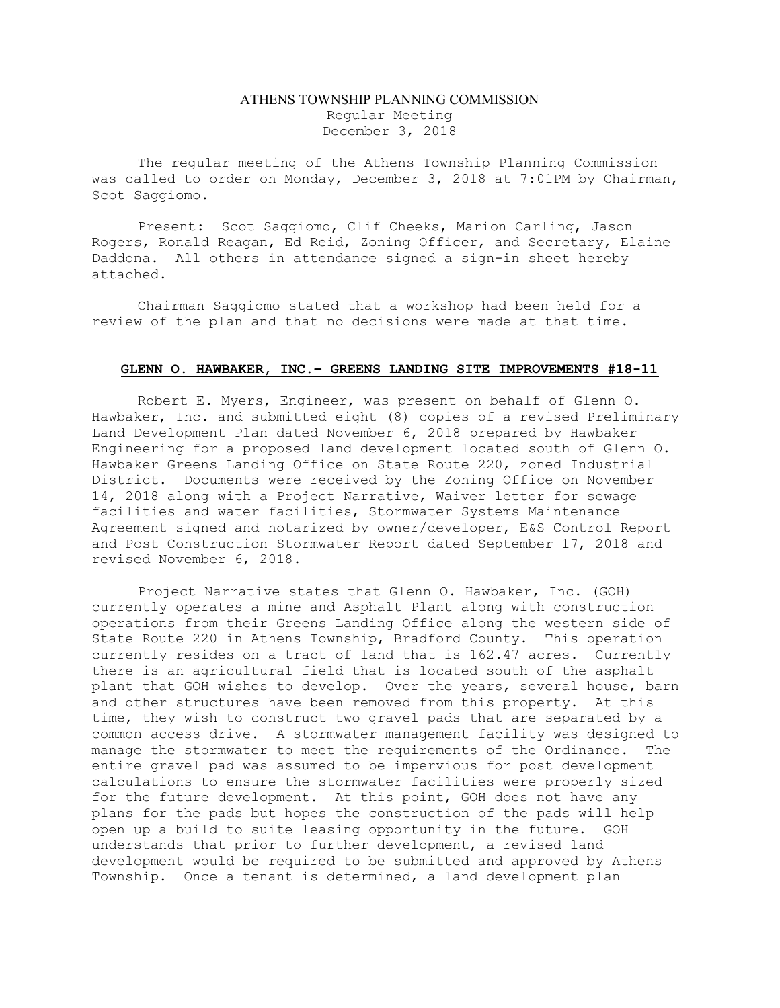## ATHENS TOWNSHIP PLANNING COMMISSION Regular Meeting December 3, 2018

The regular meeting of the Athens Township Planning Commission was called to order on Monday, December 3, 2018 at 7:01PM by Chairman, Scot Saggiomo.

Present: Scot Saggiomo, Clif Cheeks, Marion Carling, Jason Rogers, Ronald Reagan, Ed Reid, Zoning Officer, and Secretary, Elaine Daddona. All others in attendance signed a sign-in sheet hereby attached.

Chairman Saggiomo stated that a workshop had been held for a review of the plan and that no decisions were made at that time.

## GLENN O. HAWBAKER, INC.– GREENS LANDING SITE IMPROVEMENTS #18-11

 Robert E. Myers, Engineer, was present on behalf of Glenn O. Hawbaker, Inc. and submitted eight (8) copies of a revised Preliminary Land Development Plan dated November 6, 2018 prepared by Hawbaker Engineering for a proposed land development located south of Glenn O. Hawbaker Greens Landing Office on State Route 220, zoned Industrial District. Documents were received by the Zoning Office on November 14, 2018 along with a Project Narrative, Waiver letter for sewage facilities and water facilities, Stormwater Systems Maintenance Agreement signed and notarized by owner/developer, E&S Control Report and Post Construction Stormwater Report dated September 17, 2018 and revised November 6, 2018.

Project Narrative states that Glenn O. Hawbaker, Inc. (GOH) currently operates a mine and Asphalt Plant along with construction operations from their Greens Landing Office along the western side of State Route 220 in Athens Township, Bradford County. This operation currently resides on a tract of land that is 162.47 acres. Currently there is an agricultural field that is located south of the asphalt plant that GOH wishes to develop. Over the years, several house, barn and other structures have been removed from this property. At this time, they wish to construct two gravel pads that are separated by a common access drive. A stormwater management facility was designed to manage the stormwater to meet the requirements of the Ordinance. The entire gravel pad was assumed to be impervious for post development calculations to ensure the stormwater facilities were properly sized for the future development. At this point, GOH does not have any plans for the pads but hopes the construction of the pads will help open up a build to suite leasing opportunity in the future. GOH understands that prior to further development, a revised land development would be required to be submitted and approved by Athens Township. Once a tenant is determined, a land development plan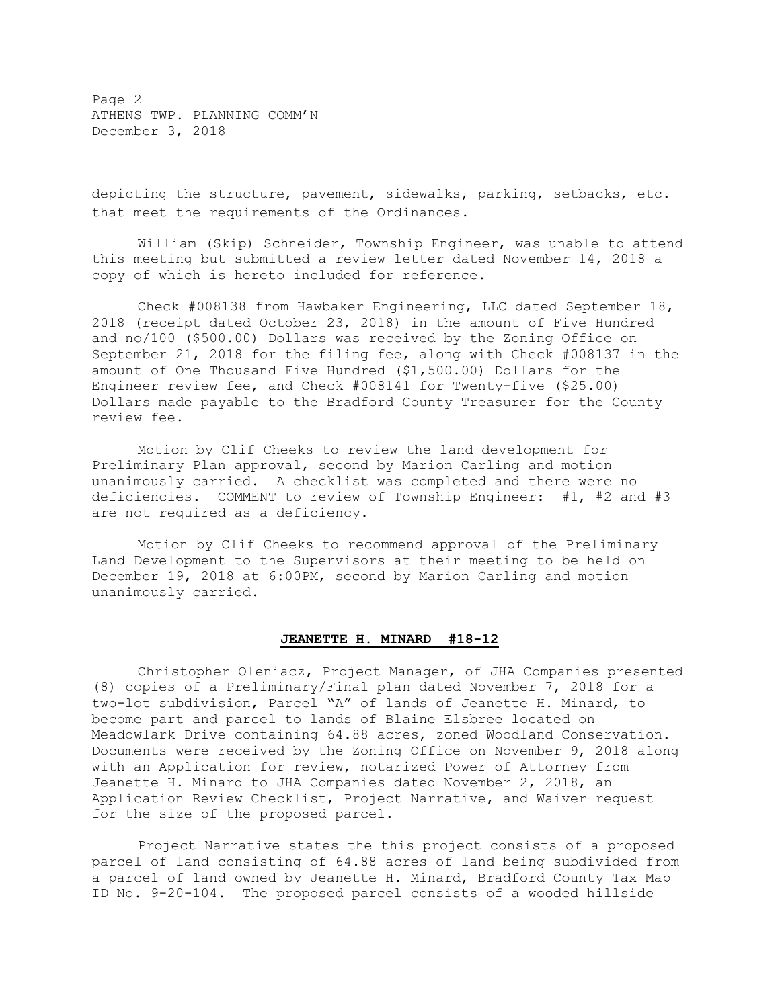Page 2 ATHENS TWP. PLANNING COMM'N December 3, 2018

depicting the structure, pavement, sidewalks, parking, setbacks, etc. that meet the requirements of the Ordinances.

William (Skip) Schneider, Township Engineer, was unable to attend this meeting but submitted a review letter dated November 14, 2018 a copy of which is hereto included for reference.

Check #008138 from Hawbaker Engineering, LLC dated September 18, 2018 (receipt dated October 23, 2018) in the amount of Five Hundred and no/100 (\$500.00) Dollars was received by the Zoning Office on September 21, 2018 for the filing fee, along with Check #008137 in the amount of One Thousand Five Hundred (\$1,500.00) Dollars for the Engineer review fee, and Check #008141 for Twenty-five (\$25.00) Dollars made payable to the Bradford County Treasurer for the County review fee.

 Motion by Clif Cheeks to review the land development for Preliminary Plan approval, second by Marion Carling and motion unanimously carried. A checklist was completed and there were no deficiencies. COMMENT to review of Township Engineer: #1, #2 and #3 are not required as a deficiency.

 Motion by Clif Cheeks to recommend approval of the Preliminary Land Development to the Supervisors at their meeting to be held on December 19, 2018 at 6:00PM, second by Marion Carling and motion unanimously carried.

## JEANETTE H. MINARD #18-12

 Christopher Oleniacz, Project Manager, of JHA Companies presented (8) copies of a Preliminary/Final plan dated November 7, 2018 for a two-lot subdivision, Parcel "A" of lands of Jeanette H. Minard, to become part and parcel to lands of Blaine Elsbree located on Meadowlark Drive containing 64.88 acres, zoned Woodland Conservation. Documents were received by the Zoning Office on November 9, 2018 along with an Application for review, notarized Power of Attorney from Jeanette H. Minard to JHA Companies dated November 2, 2018, an Application Review Checklist, Project Narrative, and Waiver request for the size of the proposed parcel.

 Project Narrative states the this project consists of a proposed parcel of land consisting of 64.88 acres of land being subdivided from a parcel of land owned by Jeanette H. Minard, Bradford County Tax Map ID No. 9-20-104. The proposed parcel consists of a wooded hillside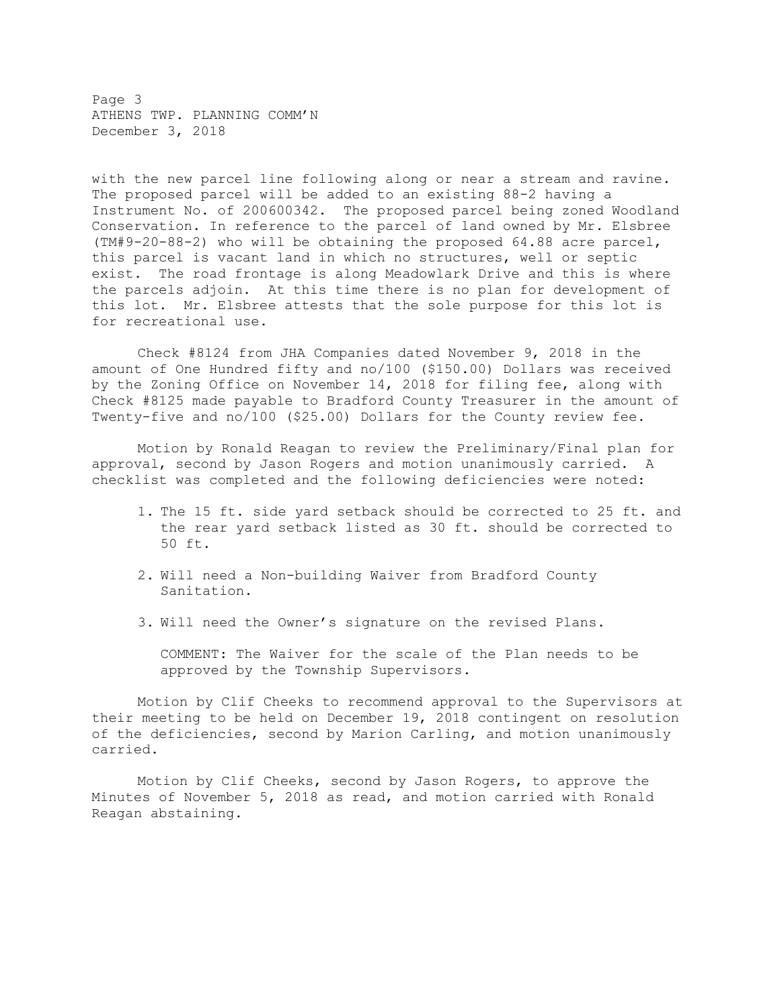Page 3 ATHENS TWP. PLANNING COMM'N December 3, 2018

with the new parcel line following along or near a stream and ravine. The proposed parcel will be added to an existing 88-2 having a Instrument No. of 200600342. The proposed parcel being zoned Woodland Conservation. In reference to the parcel of land owned by Mr. Elsbree (TM#9-20-88-2) who will be obtaining the proposed 64.88 acre parcel, this parcel is vacant land in which no structures, well or septic exist. The road frontage is along Meadowlark Drive and this is where the parcels adjoin. At this time there is no plan for development of this lot. Mr. Elsbree attests that the sole purpose for this lot is for recreational use.

 Check #8124 from JHA Companies dated November 9, 2018 in the amount of One Hundred fifty and no/100 (\$150.00) Dollars was received by the Zoning Office on November 14, 2018 for filing fee, along with Check #8125 made payable to Bradford County Treasurer in the amount of Twenty-five and no/100 (\$25.00) Dollars for the County review fee.

 Motion by Ronald Reagan to review the Preliminary/Final plan for approval, second by Jason Rogers and motion unanimously carried. A checklist was completed and the following deficiencies were noted:

- 1. The 15 ft. side yard setback should be corrected to 25 ft. and the rear yard setback listed as 30 ft. should be corrected to 50 ft.
- 2. Will need a Non-building Waiver from Bradford County Sanitation.
- 3. Will need the Owner's signature on the revised Plans.

COMMENT: The Waiver for the scale of the Plan needs to be approved by the Township Supervisors.

Motion by Clif Cheeks to recommend approval to the Supervisors at their meeting to be held on December 19, 2018 contingent on resolution of the deficiencies, second by Marion Carling, and motion unanimously carried.

Motion by Clif Cheeks, second by Jason Rogers, to approve the Minutes of November 5, 2018 as read, and motion carried with Ronald Reagan abstaining.